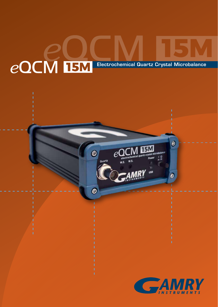# **EQCM IBM** Electrochemical Quartz Crystal Microbalance

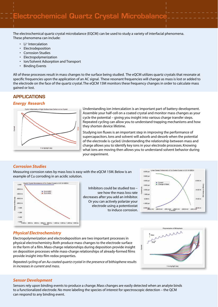The electrochemical quartz crystal microbalance (EQCM) can be used to study a variety of interfacial phenomena. These phenomena can include:

- Li<sup>+</sup> Intercalation
- Electrodeposition
- **Corrosion Studies**
- **Electropolymerization**
- Ion/Solvent Adsorption and Transport
- Binding Events

All of these processes result in mass changes to the surface being studied. The eQCM utilizes quartz crystals that resonate at specific frequencies upon the application of an AC signal. These resonant frequencies will change as mass is lost or added to the electrode on the face of the quartz crystal. The eQCM 15M monitors these frequency changes in order to calculate mass gained or lost.

## **APPLICATIONS**

#### *Energy Research*



Understanding ion intercalation is an important part of battery development. Assemble your half-cell on a coated crystal and monitor mass changes as your cycle the potential – giving you insight into various charge transfer steps. Repeated cycling can allow you to understand trapping mechanisms and how they shorten device lifetime.

Studying ion fluxes is an important step in improving the performance of supercapacitors. Ions and solvent will adsorb and desorb when the potential of the electrode is cycled. Understanding the relationship between mass and charge allows you to identify key ions in your electrode processes. Knowing what ions are moving then allows you to understand solvent behavior during your experiment.

#### *Corrosion Studies*

Measuring corrosion rates by mass loss is easy with the eQCM 15M. Below is an example of Cu corroding in an acidic solution.



Inhibitors could be studied too – see how the mass loss rate decreases after you add an inhibitor. Or you can actively polarize your electrode using a potentiostat to induce corrosion.



## *Physical Electrochemistry*

Electropolymerization and electrodeposition are two important processes in physical electrochemistry. Both produce mass changes to the electrode surface in the form of a film. Mass-charge relationships during deposition provide insight on deposition processes while mass-charge relationships of already-formed films provide insight into film redox properties.

*Repeated cycling of an Au-coated quartz crystal in the presence of bithiophene results in increases in current and mass.* 



#### *Sensor Development*

Sensors rely upon binding events to produce a change. Mass changes are easily detected when an analyte binds to a functionalized electrode. No more labeling the species of interest for spectroscopic detection – the QCM can respond to any binding event.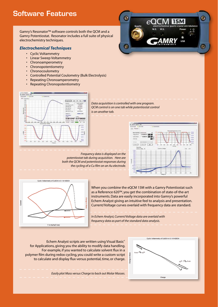# Software Features

Gamry's Resonator™ software controls both the QCM and a Gamry Potentiostat. Resonator includes a full suite of physical electrochemistry techniques. The RHE200 license required  $\mathbb{R}^n$ 

#### *Electrochemical Techniques*

- Cyclic Voltammetry
- Linear Sweep Voltammetry
- Chronoamperometry
- Chronopotentiometry
- Chronocoulometry
- Controlled Potential Coulometry (Bulk Electrolysis)
- Repeating Chronoamperometry
- Repeating Chronopotentiometry



*Data acquisition is controlled with one program. QCM control is on one tab while potentiostat control is on another tab.*

*Frequency data is displayed on the potentiostat tab during acquisition. Here are both the QCM and potentiostat responses during the cycling of a Cu film on an Au electrode.* 



Θ

C)

 $^{1}_{2}$ 



When you combine the eQCM 15M with a Gamry Potentiostat such as a Reference 620™, you get the combination of state-of-the-art instruments. Data are easily incorporated into Gamry's powerful Echem Analyst giving an intuitive feel to analysis and presentation. Current/Voltage curves overlaid with frequency data are standard.

*In Echem Analyst, Current/Voltage data are overlaid with frequency data as part of the standard data analysis.* 

Echem Analyst scripts are written using Visual Basic® for Applications, giving you the ability to modify data handling. For example, if you wanted to calculate solvent flux in a polymer film during redox cycling, you could write a custom script to calculate and display flux versus potential, time, or charge.



*Easily plot Mass versus Charge to back out Molar Masses.*